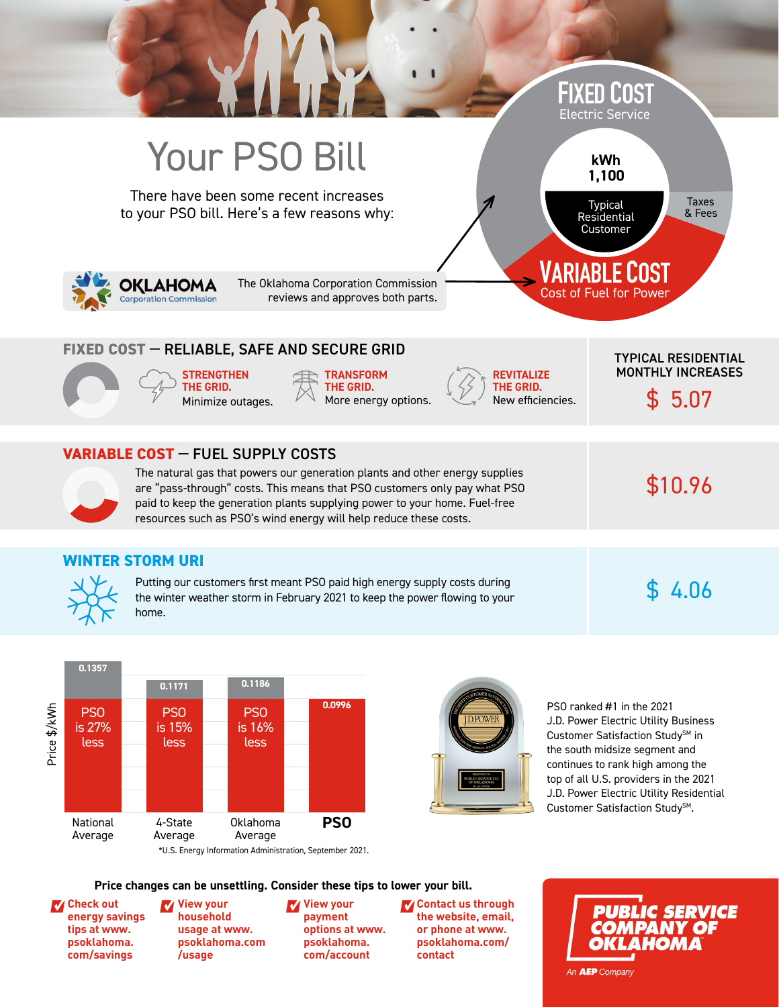



PSO ranked #1 in the 2021 J.D. Power Electric Utility Business Customer Satisfaction Study<sup>SM</sup> in the south midsize segment and continues to rank high among the top of all U.S. providers in the 2021 J.D. Power Electric Utility Residential Customer Satisfaction Study<sup>SM</sup>.

**Price changes can be unsettling. Consider these tips to lower your bill.**

**Check out** ✓ **View your [energy savings](http://www.psoklahoma.com/savings/) tips at www. psoklahoma. com/savings**

**household usage at www. [psoklahoma.com](http://www.psoklahoma.com/account/usage/) /usage** ✓ **View your**

**payment [options at www](http://www.psoklahoma.com/account/). psoklahoma. com/account**

✓ **Contact us through** ✓**[the website, ema](http://www.psoklahoma.com/contact/)il, or phone at www. psoklahoma.com/ contact**